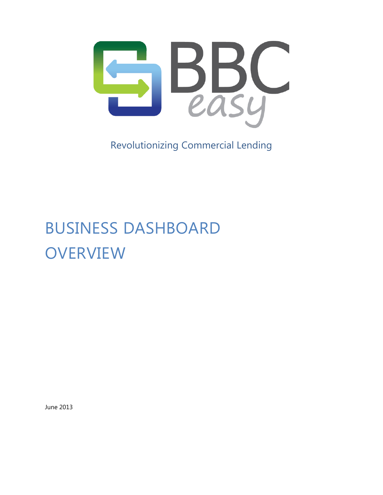

Revolutionizing Commercial Lending

# BUSINESS DASHBOARD **OVERVIEW**

June 2013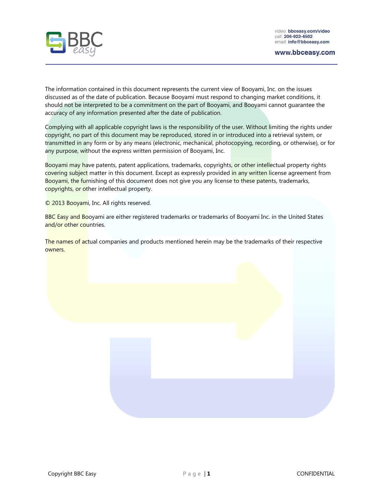

The information contained in this document represents the current view of Booyami, Inc. on the issues discussed as of the date of publication. Because Booyami must respond to changing market conditions, it should not be interpreted to be a commitment on the part of Booyami, and Booyami cannot guarantee the accuracy of any information presented after the date of publication.

Complying with all applicable copyright laws is the responsibility of the user. Without limiting the rights under copyright, no part of this document may be reproduced, stored in or introduced into a retrieval system, or transmitted in any form or by any means (electronic, mechanical, photocopying, recording, or otherwise), or for any purpose, without the express written permission of Booyami, Inc.

Booyami may have patents, patent applications, trademarks, copyrights, or other intellectual property rights covering subject matter in this document. Except as expressly provided in any written license agreement from Booyami, the furnishing of this document does not give you any license to these patents, trademarks, copyrights, or other intellectual property.

© 2013 Booyami, Inc. All rights reserved.

BBC Easy and Booyami are either registered trademarks or trademarks of Booyami Inc. in the United States and/or other countries.

The names of actual companies and products mentioned herein may be the trademarks of their respective owners.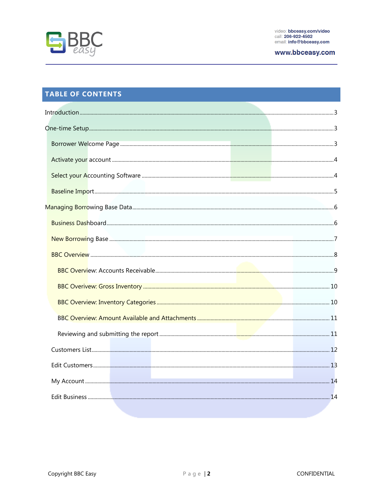

# **TABLE OF CONTENTS**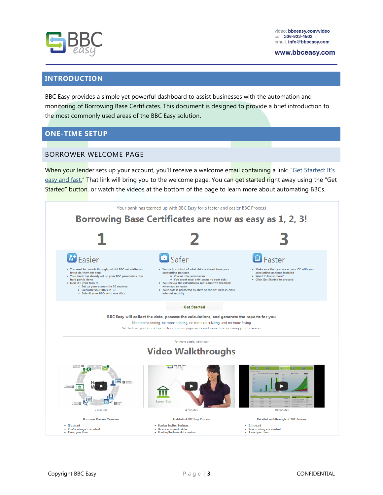



# <span id="page-3-0"></span>**INTRODUCTION**

BBC Easy provides a simple yet powerful dashboard to assist businesses with the automation and monitoring of Borrowing Base Certificates. This document is designed to provide a brief introduction to the most commonly used areas of the BBC Easy solution.

## <span id="page-3-1"></span>**ONE-TIME SETUP**

## <span id="page-3-2"></span>BORROWER WELCOME PAGE

When your lender sets up your account, you'll receive a welcome email containing a link: "Get Started: It's easy and fast." That link will bring you to the welcome page. You can get started right away using the "Get Started" button, or watch the videos at the bottom of the page to learn more about automating BBCs.

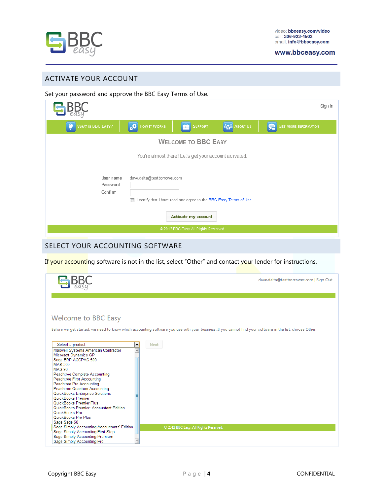

## <span id="page-4-0"></span>ACTIVATE YOUR ACCOUNT

Set your password and approve the BBC Easy Terms of Use.

|                                                                                                                                                                                                                       |              |                                       |                     | Sign In              |  |
|-----------------------------------------------------------------------------------------------------------------------------------------------------------------------------------------------------------------------|--------------|---------------------------------------|---------------------|----------------------|--|
| <b>WHAT IS BBC EASY?</b>                                                                                                                                                                                              | How It Works | 量<br>Support                          | <b>AVA</b> ABOUT US | GET MORE INFORMATION |  |
|                                                                                                                                                                                                                       |              | <b>WELCOME TO BBC EASY</b>            |                     |                      |  |
|                                                                                                                                                                                                                       |              |                                       |                     |                      |  |
| You're almost there! Let's get your account activated.<br>User name<br>dave.delta@testborrcwer.com<br>Password<br>Confirm<br>I certify that I have read and agree to the BBC Easy Terms of Use<br>Activate my account |              |                                       |                     |                      |  |
|                                                                                                                                                                                                                       |              | @ 2013 BBC Easy. All Rights Reserved. |                     |                      |  |

# <span id="page-4-1"></span>SELECT YOUR ACCOUNTING SOFTWARE

If your accounting software is not in the list, select "Other" and contact your lender for instructions.

|                                                                                                                                                                                                                                                                                                                                                                                                                                                                         | dave.delta@testborrower.com   Sign Out                                                                                                                   |
|-------------------------------------------------------------------------------------------------------------------------------------------------------------------------------------------------------------------------------------------------------------------------------------------------------------------------------------------------------------------------------------------------------------------------------------------------------------------------|----------------------------------------------------------------------------------------------------------------------------------------------------------|
|                                                                                                                                                                                                                                                                                                                                                                                                                                                                         |                                                                                                                                                          |
| Welcome to BBC Easy                                                                                                                                                                                                                                                                                                                                                                                                                                                     |                                                                                                                                                          |
|                                                                                                                                                                                                                                                                                                                                                                                                                                                                         | Before we get started, we need to know which accounting software you use with your business. If you cannot find your software in the list, choose Other. |
| -- Select a product --<br>۰<br>Maxwell Systems American Contractor<br>Microsoft Dynamics GP<br>Sage ERP ACCPAC 500<br><b>MAS 200</b><br><b>MAS 90</b><br>Peachtree Complete Accounting<br>Peachtree First Accounting<br>Peachtree Pro Accounting<br>Peachtree Quantum Accounting<br>QuickBooks Enterprise Solutions<br>QuickBooks Premier<br>QuickBooks Premier Plus<br>QuickBooks Premier: Accountant Edition<br>QuickBooks Pro<br>QuickBooks Pro Plus<br>Sage Sage 50 | <b>Next</b>                                                                                                                                              |
| Sage Simply Accounting Accountants' Edition                                                                                                                                                                                                                                                                                                                                                                                                                             | C 2013 BBC Easy. All Rights Reserved.                                                                                                                    |
| Sage Simply Accounting First Step<br>Sage Simply Accounting Premium<br>Sage Simply Accounting Pro                                                                                                                                                                                                                                                                                                                                                                       |                                                                                                                                                          |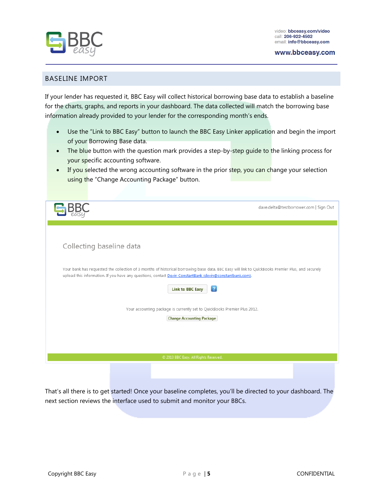

#### www.bbceasy.com

#### <span id="page-5-0"></span>BASELINE IMPORT

If your lender has requested it, BBC Easy will collect historical borrowing base data to establish a baseline for the charts, graphs, and reports in your dashboard. The data collected will match the borrowing base information already provided to your lender for the corresponding month's ends.

- Use the "Link to BBC Easy" button to launch the BBC Easy Linker application and begin the import of your Borrowing Base data.
- The blue button with the question mark provides a step-by-step guide to the linking process for your specific accounting software.
- If you selected the wrong accounting software in the prior step, you can change your selection using the "Change Accounting Package" button.

|                                                                                                                                                                                                                                                               | dave.delta@testborrower.com   Sign Out |
|---------------------------------------------------------------------------------------------------------------------------------------------------------------------------------------------------------------------------------------------------------------|----------------------------------------|
|                                                                                                                                                                                                                                                               |                                        |
| Collecting baseline data                                                                                                                                                                                                                                      |                                        |
| Your bank has requested the collection of 3 months of historical borrowing base data. BBC Easy will link to QuickBooks Premier Plus, and securely<br>upload this information. If you have any questions, contact Devin ConstantBank (devin@constantbank.com). |                                        |
| $\boxed{?}$<br><b>Link to BBC Easy</b>                                                                                                                                                                                                                        |                                        |
| Your accounting package is currently set to QuickBooks Premier Plus 2012.<br><b>Change Accounting Package</b>                                                                                                                                                 |                                        |
|                                                                                                                                                                                                                                                               |                                        |
| C 2013 BBC Easy. All Rights Reserved.                                                                                                                                                                                                                         |                                        |

That's all there is to get started! Once your baseline completes, you'll be directed to your dashboard. The next section reviews the interface used to submit and monitor your BBCs.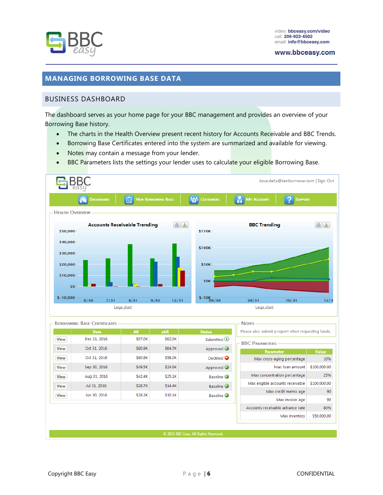

## <span id="page-6-0"></span>**MANAGING BORROWING BASE DATA**

#### <span id="page-6-1"></span>BUSINESS DASHBOARD

The dashboard serves as your home page for your BBC management and provides an overview of your Borrowing Base history.

- The charts in the Health Overview present recent history for Accounts Receivable and BBC Trends.
- Borrowing Base Certificates entered into the system are summarized and available for viewing.
- Notes may contain a message from your lender.
- **BBC Parameters lists the settings your lender uses to calculate your eligible Borrowing Base.**

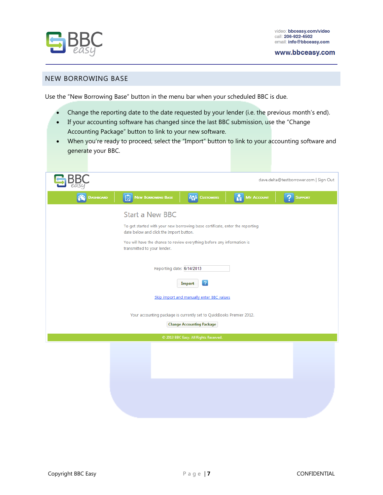

#### www.bbceasy.com

#### <span id="page-7-0"></span>NEW BORROWING BASE

Use the "New Borrowing Base" button in the menu bar when your scheduled BBC is due.

- Change the reporting date to the date requested by your lender (i.e. the previous month's end).
- If your accounting software has changed since the last BBC submission, use the "Change Accounting Package" button to link to your new software.
- When you're ready to proceed, select the "Import" button to link to your accounting software and generate your BBC.

|                  |                                                                                                                         |                                           |                   | dave.delta@testborrower.com   Sign Out |
|------------------|-------------------------------------------------------------------------------------------------------------------------|-------------------------------------------|-------------------|----------------------------------------|
| <b>DASHBOARD</b> | NEW BORROWING BASE                                                                                                      | <b>M<sub>W</sub></b> CUSTOMERS            | <b>MY ACCOUNT</b> | <b>SUPPORT</b>                         |
|                  | <b>Start a New BBC</b>                                                                                                  |                                           |                   |                                        |
|                  | To get started with your new borrowing base certificate, enter the reporting<br>date below and click the Import button. |                                           |                   |                                        |
|                  | You will have the chance to review everything before any information is<br>transmitted to your lender.                  |                                           |                   |                                        |
|                  | Reporting date: 6/14/2013                                                                                               |                                           |                   |                                        |
|                  |                                                                                                                         | $\overline{?}$<br>Import                  |                   |                                        |
|                  |                                                                                                                         | Skip import and manually enter BBC values |                   |                                        |
|                  | Your accounting package is currently set to QuickBooks Premier 2012.                                                    |                                           |                   |                                        |
|                  |                                                                                                                         | <b>Change Accounting Package</b>          |                   |                                        |
|                  |                                                                                                                         | C 2013 BBC Easy. All Rights Reserved.     |                   |                                        |
|                  |                                                                                                                         |                                           |                   |                                        |
|                  |                                                                                                                         |                                           |                   |                                        |
|                  |                                                                                                                         |                                           |                   |                                        |
|                  |                                                                                                                         |                                           |                   |                                        |
|                  |                                                                                                                         |                                           |                   |                                        |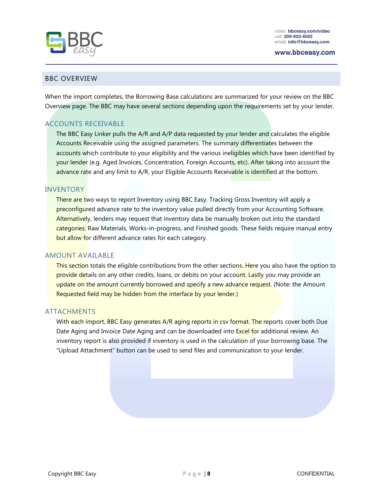

www.bbceasv.com

#### <span id="page-8-0"></span>BBC OVERVIEW

When the import completes, the Borrowing Base calculations are summarized for your review on the BBC Overview page. The BBC may have several sections depending upon the requirements set by your lender.

## ACCOUNTS RECEIVABLE

The BBC Easy Linker pulls the A/R and A/P data requested by your lender and calculates the eligible Accounts Receivable using the assigned parameters. The summary differentiates between the accounts which contribute to your eligibility and the various ineligibles which have been identified by your lender (e.g. Aged Invoices, Concentration, Foreign Accounts, etc). After taking into account the advance rate and any limit to A/R, your Eligible Accounts Receivable is identified at the bottom.

#### INVENTORY

There are two ways to report Inventory using BBC Easy. Tracking Gross Inventory will apply a preconfigured advance rate to the inventory value pulled directly from your Accounting Software. Alternatively, lenders may request that inventory data be manually broken out into the standard categories: Raw Materials, Works-in-progress, and Finished goods. These fields require manual entry but allow for different advance rates for each category.

#### AMOUNT AVAILABLE

This section totals the eligible contributions from the other sections. Here you also have the option to provide details on any other credits, loans, or debits on your account. Lastly you may provide an update on the amount currently borrowed and specify a new advance request. (Note: the Amount Requested field may be hidden from the interface by your lender.)

#### ATTACHMENTS

With each import, BBC Easy generates A/R aging reports in csy format. The reports cover both Due Date Aging and Invoice Date Aging and can be downloaded into Excel for additional review. An inventory report is also provided if inventory is used in the calculation of your borrowing base. The "Upload Attachment" button can be used to send files and communication to your lender.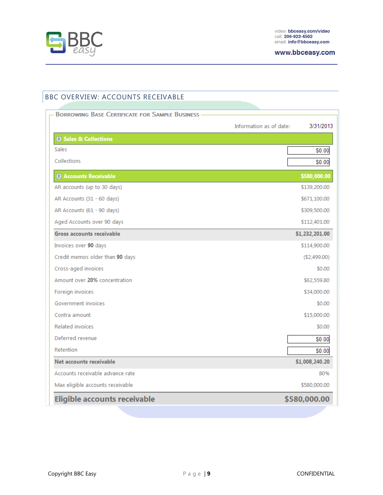

# <span id="page-9-0"></span>BBC OVERVIEW: ACCOUNTS RECEIVABLE

| <b>BORROWING BASE CERTIFICATE FOR SAMPLE BUSINESS -</b> |                         |                |
|---------------------------------------------------------|-------------------------|----------------|
|                                                         | Information as of date: | 3/31/2013      |
| 8 Sales & Collections                                   |                         |                |
| Sales                                                   |                         | \$0.00         |
| Collections                                             |                         | \$0.00         |
| <b>28 Accounts Receivable</b>                           |                         | \$580,000.00   |
| AR accounts (up to 30 days)                             |                         | \$139,200.00   |
| AR Accounts (31 - 60 days)                              |                         | \$671,100.00   |
| AR Accounts (61 - 90 days)                              |                         | \$309,500.00   |
| Aged Accounts over 90 days                              |                         | \$112,401.00   |
| <b>Gross accounts receivable</b>                        |                         | \$1,232,201.00 |
| Invoices over 90 days                                   |                         | \$114,900.00   |
| Credit memos older than 90 days                         |                         | (\$2,499.00)   |
| Cross-aged invoices                                     |                         | \$0.00         |
| Amount over 20% concentration                           |                         | \$62,559.80    |
| Foreign invoices                                        |                         | \$34,000.00    |
| Government invoices                                     |                         | \$0.00         |
| Contra amount                                           |                         | \$15,000.00    |
| <b>Related invoices</b>                                 |                         | \$0.00         |
| Deferred revenue                                        |                         | \$0.00         |
| Retention                                               |                         | \$0.00         |
| Net accounts receivable                                 |                         | \$1,008,240.20 |
| Accounts receivable advance rate                        |                         | 80%            |
| Max eligible accounts receivable                        |                         | \$580,000.00   |
| <b>Eligible accounts receivable</b>                     |                         | \$580,000.00   |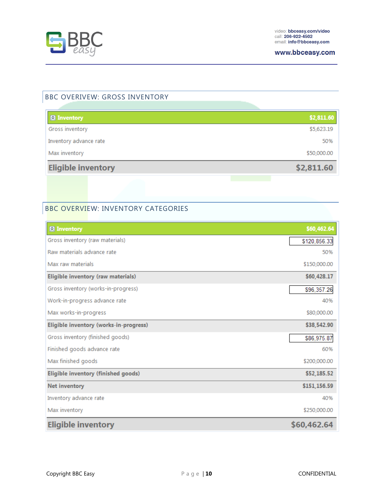

## <span id="page-10-0"></span>BBC OVERIVEW: GROSS INVENTORY

| 8 Inventory               | \$2,811.60  |
|---------------------------|-------------|
| Gross inventory           | \$5,623.19  |
| Inventory advance rate    | 50%         |
| Max inventory             | \$50,000.00 |
| <b>Eligible inventory</b> | \$2,811.60  |
|                           |             |

## <span id="page-10-1"></span>BBC OVERVIEW: INVENTORY CATEGORIES

| <b><sup>2</sup></b> Inventory          | \$60,462.64  |
|----------------------------------------|--------------|
| Gross inventory (raw materials)        | \$120,856.33 |
| Raw materials advance rate             | 50%          |
| Max raw materials                      | \$150,000.00 |
| Eligible inventory (raw materials)     | \$60,428.17  |
| Gross inventory (works-in-progress)    | \$96,357.26  |
| Work-in-progress advance rate          | 40%          |
| Max works-in-progress                  | \$80,000.00  |
| Eligible inventory (works-in-progress) | \$38,542.90  |
| Gross inventory (finished goods)       | \$86,975.87  |
| Finished goods advance rate            | 60%          |
| Max finished goods                     | \$200,000.00 |
| Eligible inventory (finished goods)    | \$52,185.52  |
| <b>Net inventory</b>                   | \$151,156.59 |
| Inventory advance rate                 | 40%          |
| Max inventory                          | \$250,000.00 |
| <b>Eligible inventory</b>              | \$60,462.64  |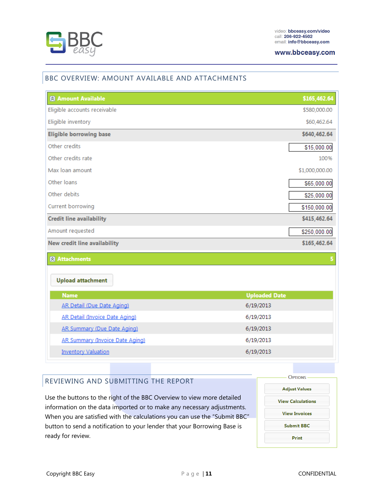

#### <span id="page-11-0"></span>BBC OVERVIEW: AMOUNT AVAILABLE AND ATTACHMENTS

| <b>8</b> Amount Available           | \$165,462.64         |
|-------------------------------------|----------------------|
| Eligible accounts receivable        | \$580,000.00         |
| Eligible inventory                  | \$60,462.64          |
| <b>Eligible borrowing base</b>      | \$640,462.64         |
| Other credits                       | \$15,000.00          |
| Other credits rate                  | 100%                 |
| Max Ioan amount                     | \$1,000,000.00       |
| Other Ioans                         | \$65,000.00          |
| Other debits                        | \$25,000.00          |
| Current borrowing                   | \$150,000.00         |
| <b>Credit line availability</b>     | \$415,462.64         |
| Amount requested                    | \$250,000.00         |
| <b>New credit line availability</b> | \$165,462.64         |
| <b>&amp;</b> Attachments            |                      |
| <b>Upload attachment</b>            |                      |
| <b>Name</b>                         | <b>Uploaded Date</b> |
| <b>AR Detail (Due Date Aging)</b>   | 6/19/2013            |
| AR Detail (Invoice Date Aging)      | 6/19/2013            |
| AR Summary (Due Date Aging)         | 6/19/2013            |
| AR Summary (Invoice Date Aging)     | 6/19/2013            |
| <b>Inventory Valuation</b>          | 6/19/2013            |

## <span id="page-11-1"></span>REVIEWING AND SUBMITTING THE REPORT

Use the buttons to the right of the BBC Overview to view more detailed information on the data imported or to make any necessary adjustments. When you are satisfied with the calculations you can use the "Submit BBC" button to send a notification to your lender that your Borrowing Base is ready for review.

| <b>OPTIONS</b>           |
|--------------------------|
| <b>Adjust Values</b>     |
| <b>View Calculations</b> |
| <b>View Invoices</b>     |
| <b>Submit BBC</b>        |
| Print                    |
|                          |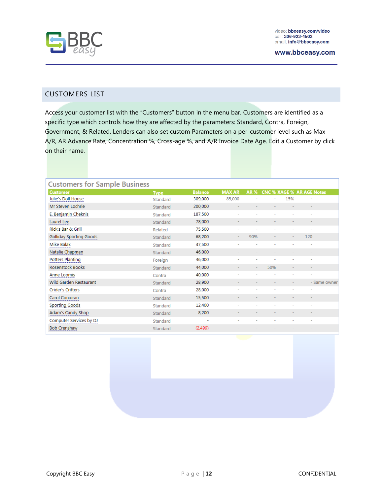

#### <span id="page-12-0"></span>CUSTOMERS LIST

Access your customer list with the "Customers" button in the menu bar. Customers are identified as a specific type which controls how they are affected by the parameters: Standard, Contra, Foreign, Government, & Related. Lenders can also set custom Parameters on a per-customer level such as Max A/R, AR Advance Rate, Concentration %, Cross-age %, and A/R Invoice Date Age. Edit a Customer by click on their name.

| <b>Customers for Sample Business</b> |             |                |               |            |     |     |                                  |
|--------------------------------------|-------------|----------------|---------------|------------|-----|-----|----------------------------------|
| <b>Customer</b>                      | <b>Type</b> | <b>Balance</b> | <b>MAX AR</b> | <b>AR%</b> |     |     | <b>CNC % XAGE % AR AGE Notes</b> |
| Julie's Doll House                   | Standard    | 309,000        | 85,000        |            |     | 15% |                                  |
| Mr Steven Lochrie                    | Standard    | 200,000        |               |            |     |     |                                  |
| E. Benjamin Cheknis                  | Standard    | 187,500        |               |            |     |     |                                  |
| Laurel Lee                           | Standard    | 78,000         |               |            |     |     |                                  |
| Rick's Bar & Grill                   | Related     | 75,500         | -             |            |     |     |                                  |
| <b>Golliday Sporting Goods</b>       | Standard    | 68,200         |               | 90%        |     |     | 120                              |
| Mike Balak                           | Standard    | 47,500         |               |            |     |     |                                  |
| Natalie Chapman                      | Standard    | 46,000         |               |            |     |     |                                  |
| <b>Potters Planting</b>              | Foreign     | 46,000         | ٠             |            |     |     | $\overline{\phantom{a}}$         |
| Rosenstock Books                     | Standard    | 44,000         |               |            | 50% |     |                                  |
| Anne Loomis                          | Contra      | 40,000         |               |            |     |     |                                  |
| Wild Garden Restaurant               | Standard    | 28,900         |               |            |     |     | - Same owner                     |
| Crider's Critters                    | Contra      | 28,000         | ٠             |            |     |     |                                  |
| Carol Corcoran                       | Standard    | 15,500         |               |            |     |     |                                  |
| Sporting Goods                       | Standard    | 12,400         |               |            |     |     |                                  |
| Adam's Candy Shop                    | Standard    | 8,200          |               |            |     |     |                                  |
| Computer Services by DJ              | Standard    | ٠              |               |            |     |     |                                  |
| <b>Bob Crenshaw</b>                  | Standard    | (2,499)        |               |            |     |     |                                  |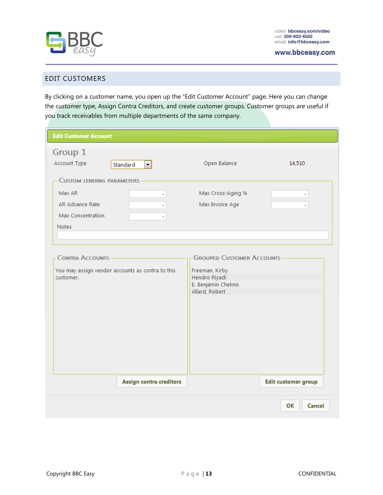

www.bbceasy.com

#### <span id="page-13-0"></span>EDIT CUSTOMERS

By clicking on a customer name, you open up the "Edit Customer Account" page. Here you can change the customer type, Assign Contra Creditors, and create customer groups. Customer groups are useful if you track receivables from multiple departments of the same company.

| <b>Edit Customer Account</b>                                                                         |                                  |                                                                                                                |                            |
|------------------------------------------------------------------------------------------------------|----------------------------------|----------------------------------------------------------------------------------------------------------------|----------------------------|
| Group 1<br>Account Type                                                                              | Standard<br>$\blacktriangledown$ | Open Balance                                                                                                   | 14,510                     |
| <b>CUSTOM LENDING PARAMETERS -</b><br>Max AR<br>AR Advance Rate<br>Max Concentration<br><b>Notes</b> |                                  | Max Cross-Aging %<br>Max Invoice Age                                                                           | ۰<br>÷,                    |
| <b>CONTRA ACCOUNTS -</b><br>You may assign vendor accounts as contra to this<br>customer.            |                                  | <b>GROUPED CUSTOMER ACCOUNTS -</b><br>Freeman, Kirby<br>Hendro Riyadi<br>E. Benjamin Cheknis<br>Allard, Robert |                            |
|                                                                                                      | <b>Assign contra creditors</b>   |                                                                                                                | <b>Edit customer group</b> |
|                                                                                                      |                                  |                                                                                                                | OK<br>Cancel               |